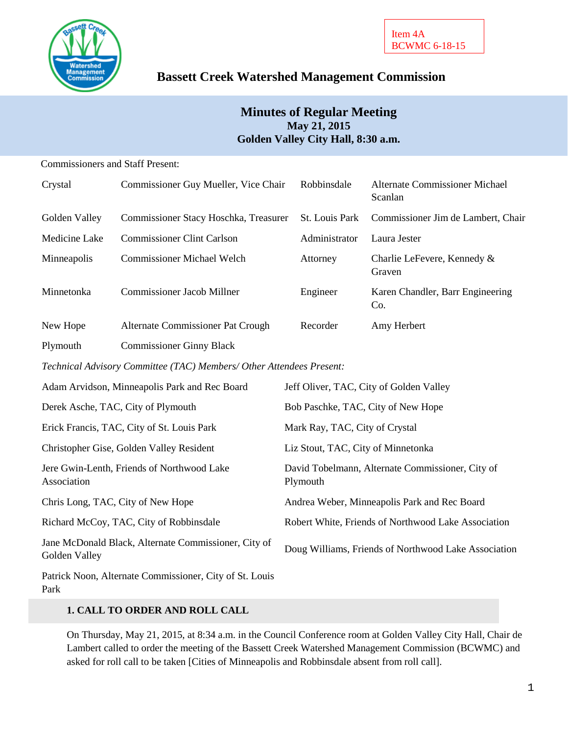

# **Bassett Creek Watershed Management Commission**

# **Minutes of Regular Meeting May 21, 2015 Golden Valley City Hall, 8:30 a.m.**

Commissioners and Staff Present:

| Crystal       | Commissioner Guy Mueller, Vice Chair  | Robbinsdale           | <b>Alternate Commissioner Michael</b><br>Scanlan |
|---------------|---------------------------------------|-----------------------|--------------------------------------------------|
| Golden Valley | Commissioner Stacy Hoschka, Treasurer | <b>St. Louis Park</b> | Commissioner Jim de Lambert, Chair               |
| Medicine Lake | <b>Commissioner Clint Carlson</b>     | Administrator         | Laura Jester                                     |
| Minneapolis   | <b>Commissioner Michael Welch</b>     | Attorney              | Charlie LeFevere, Kennedy &<br>Graven            |
| Minnetonka    | Commissioner Jacob Millner            | Engineer              | Karen Chandler, Barr Engineering<br>Co.          |
| New Hope      | Alternate Commissioner Pat Crough     | Recorder              | Amy Herbert                                      |

Plymouth Commissioner Ginny Black

*Technical Advisory Committee (TAC) Members/ Other Attendees Present:*

| Adam Arvidson, Minneapolis Park and Rec Board                         | Jeff Oliver, TAC, City of Golden Valley                      |
|-----------------------------------------------------------------------|--------------------------------------------------------------|
| Derek Asche, TAC, City of Plymouth                                    | Bob Paschke, TAC, City of New Hope                           |
| Erick Francis, TAC, City of St. Louis Park                            | Mark Ray, TAC, City of Crystal                               |
| Christopher Gise, Golden Valley Resident                              | Liz Stout, TAC, City of Minnetonka                           |
| Jere Gwin-Lenth, Friends of Northwood Lake<br>Association             | David Tobelmann, Alternate Commissioner, City of<br>Plymouth |
| Chris Long, TAC, City of New Hope                                     | Andrea Weber, Minneapolis Park and Rec Board                 |
| Richard McCoy, TAC, City of Robbinsdale                               | Robert White, Friends of Northwood Lake Association          |
| Jane McDonald Black, Alternate Commissioner, City of<br>Golden Valley | Doug Williams, Friends of Northwood Lake Association         |
| Patrick Noon, Alternate Commissioner, City of St. Louis               |                                                              |

Park

# **1. CALL TO ORDER AND ROLL CALL**

On Thursday, May 21, 2015, at 8:34 a.m. in the Council Conference room at Golden Valley City Hall, Chair de Lambert called to order the meeting of the Bassett Creek Watershed Management Commission (BCWMC) and asked for roll call to be taken [Cities of Minneapolis and Robbinsdale absent from roll call].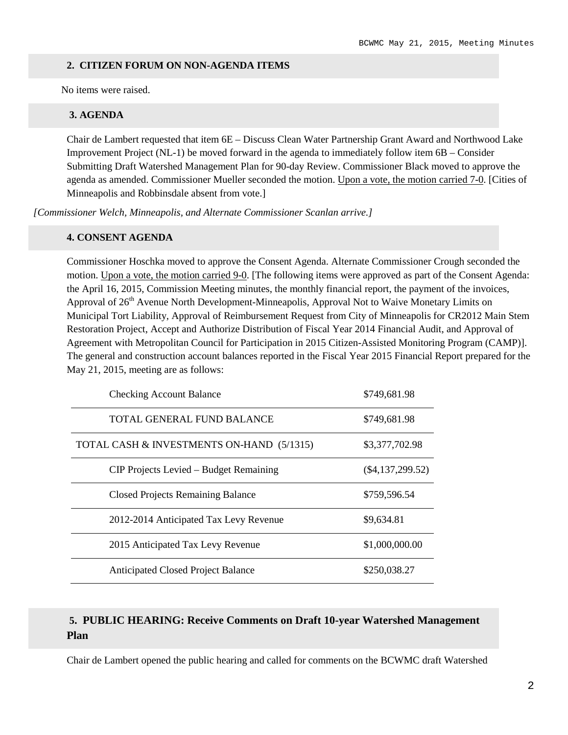#### **2. CITIZEN FORUM ON NON-AGENDA ITEMS**

No items were raised.

#### **3. AGENDA**

Chair de Lambert requested that item 6E – Discuss Clean Water Partnership Grant Award and Northwood Lake Improvement Project (NL-1) be moved forward in the agenda to immediately follow item 6B – Consider Submitting Draft Watershed Management Plan for 90-day Review. Commissioner Black moved to approve the agenda as amended. Commissioner Mueller seconded the motion. Upon a vote, the motion carried 7-0. [Cities of Minneapolis and Robbinsdale absent from vote.]

*[Commissioner Welch, Minneapolis, and Alternate Commissioner Scanlan arrive.]*

#### **4. CONSENT AGENDA**

Commissioner Hoschka moved to approve the Consent Agenda. Alternate Commissioner Crough seconded the motion. Upon a vote, the motion carried 9-0. [The following items were approved as part of the Consent Agenda: the April 16, 2015, Commission Meeting minutes, the monthly financial report, the payment of the invoices, Approval of 26<sup>th</sup> Avenue North Development-Minneapolis, Approval Not to Waive Monetary Limits on Municipal Tort Liability, Approval of Reimbursement Request from City of Minneapolis for CR2012 Main Stem Restoration Project, Accept and Authorize Distribution of Fiscal Year 2014 Financial Audit, and Approval of Agreement with Metropolitan Council for Participation in 2015 Citizen-Assisted Monitoring Program (CAMP)]. The general and construction account balances reported in the Fiscal Year 2015 Financial Report prepared for the May 21, 2015, meeting are as follows:

| <b>Checking Account Balance</b>           | \$749,681.98       |
|-------------------------------------------|--------------------|
| TOTAL GENERAL FUND BALANCE                | \$749,681.98       |
| TOTAL CASH & INVESTMENTS ON-HAND (5/1315) | \$3,377,702.98     |
| CIP Projects Levied – Budget Remaining    | $(\$4,137,299.52)$ |
| <b>Closed Projects Remaining Balance</b>  | \$759,596.54       |
| 2012-2014 Anticipated Tax Levy Revenue    | \$9,634.81         |
| 2015 Anticipated Tax Levy Revenue         | \$1,000,000.00     |
| <b>Anticipated Closed Project Balance</b> | \$250,038.27       |

# **5. PUBLIC HEARING: Receive Comments on Draft 10-year Watershed Management Plan**

Chair de Lambert opened the public hearing and called for comments on the BCWMC draft Watershed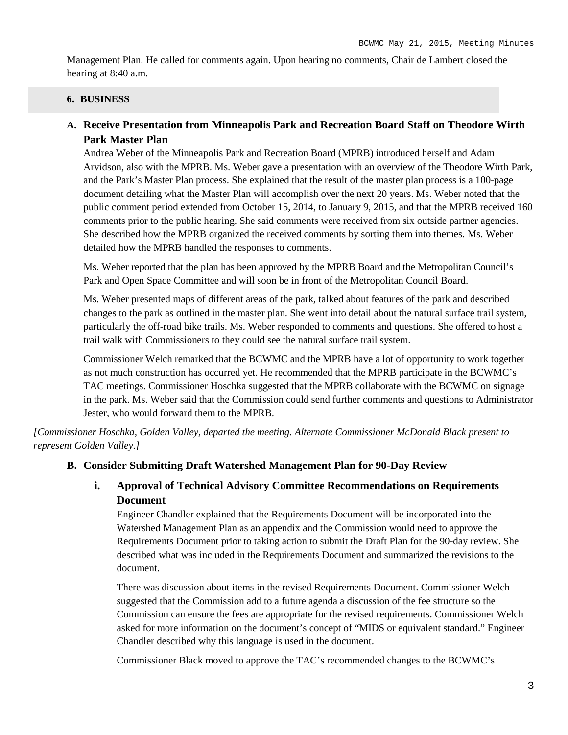Management Plan. He called for comments again. Upon hearing no comments, Chair de Lambert closed the hearing at 8:40 a.m.

# **6. BUSINESS**

# **A. Receive Presentation from Minneapolis Park and Recreation Board Staff on Theodore Wirth Park Master Plan**

Andrea Weber of the Minneapolis Park and Recreation Board (MPRB) introduced herself and Adam Arvidson, also with the MPRB. Ms. Weber gave a presentation with an overview of the Theodore Wirth Park, and the Park's Master Plan process. She explained that the result of the master plan process is a 100-page document detailing what the Master Plan will accomplish over the next 20 years. Ms. Weber noted that the public comment period extended from October 15, 2014, to January 9, 2015, and that the MPRB received 160 comments prior to the public hearing. She said comments were received from six outside partner agencies. She described how the MPRB organized the received comments by sorting them into themes. Ms. Weber detailed how the MPRB handled the responses to comments.

Ms. Weber reported that the plan has been approved by the MPRB Board and the Metropolitan Council's Park and Open Space Committee and will soon be in front of the Metropolitan Council Board.

Ms. Weber presented maps of different areas of the park, talked about features of the park and described changes to the park as outlined in the master plan. She went into detail about the natural surface trail system, particularly the off-road bike trails. Ms. Weber responded to comments and questions. She offered to host a trail walk with Commissioners to they could see the natural surface trail system.

Commissioner Welch remarked that the BCWMC and the MPRB have a lot of opportunity to work together as not much construction has occurred yet. He recommended that the MPRB participate in the BCWMC's TAC meetings. Commissioner Hoschka suggested that the MPRB collaborate with the BCWMC on signage in the park. Ms. Weber said that the Commission could send further comments and questions to Administrator Jester, who would forward them to the MPRB.

*[Commissioner Hoschka, Golden Valley, departed the meeting. Alternate Commissioner McDonald Black present to represent Golden Valley.]*

# **B. Consider Submitting Draft Watershed Management Plan for 90-Day Review**

**i. Approval of Technical Advisory Committee Recommendations on Requirements Document**

Engineer Chandler explained that the Requirements Document will be incorporated into the Watershed Management Plan as an appendix and the Commission would need to approve the Requirements Document prior to taking action to submit the Draft Plan for the 90-day review. She described what was included in the Requirements Document and summarized the revisions to the document.

There was discussion about items in the revised Requirements Document. Commissioner Welch suggested that the Commission add to a future agenda a discussion of the fee structure so the Commission can ensure the fees are appropriate for the revised requirements. Commissioner Welch asked for more information on the document's concept of "MIDS or equivalent standard." Engineer Chandler described why this language is used in the document.

Commissioner Black moved to approve the TAC's recommended changes to the BCWMC's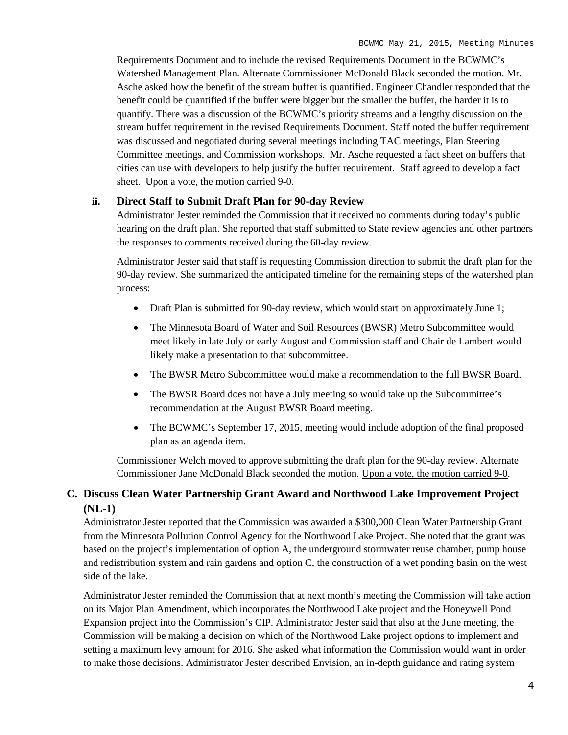Requirements Document and to include the revised Requirements Document in the BCWMC's Watershed Management Plan. Alternate Commissioner McDonald Black seconded the motion. Mr. Asche asked how the benefit of the stream buffer is quantified. Engineer Chandler responded that the benefit could be quantified if the buffer were bigger but the smaller the buffer, the harder it is to quantify. There was a discussion of the BCWMC's priority streams and a lengthy discussion on the stream buffer requirement in the revised Requirements Document. Staff noted the buffer requirement was discussed and negotiated during several meetings including TAC meetings, Plan Steering Committee meetings, and Commission workshops. Mr. Asche requested a fact sheet on buffers that cities can use with developers to help justify the buffer requirement. Staff agreed to develop a fact sheet. Upon a vote, the motion carried 9-0.

# **ii. Direct Staff to Submit Draft Plan for 90-day Review**

Administrator Jester reminded the Commission that it received no comments during today's public hearing on the draft plan. She reported that staff submitted to State review agencies and other partners the responses to comments received during the 60-day review.

Administrator Jester said that staff is requesting Commission direction to submit the draft plan for the 90-day review. She summarized the anticipated timeline for the remaining steps of the watershed plan process:

- Draft Plan is submitted for 90-day review, which would start on approximately June 1;
- The Minnesota Board of Water and Soil Resources (BWSR) Metro Subcommittee would meet likely in late July or early August and Commission staff and Chair de Lambert would likely make a presentation to that subcommittee.
- The BWSR Metro Subcommittee would make a recommendation to the full BWSR Board.
- The BWSR Board does not have a July meeting so would take up the Subcommittee's recommendation at the August BWSR Board meeting.
- The BCWMC's September 17, 2015, meeting would include adoption of the final proposed plan as an agenda item.

Commissioner Welch moved to approve submitting the draft plan for the 90-day review. Alternate Commissioner Jane McDonald Black seconded the motion. Upon a vote, the motion carried 9-0.

# **C. Discuss Clean Water Partnership Grant Award and Northwood Lake Improvement Project (NL-1)**

Administrator Jester reported that the Commission was awarded a \$300,000 Clean Water Partnership Grant from the Minnesota Pollution Control Agency for the Northwood Lake Project. She noted that the grant was based on the project's implementation of option A, the underground stormwater reuse chamber, pump house and redistribution system and rain gardens and option C, the construction of a wet ponding basin on the west side of the lake.

Administrator Jester reminded the Commission that at next month's meeting the Commission will take action on its Major Plan Amendment, which incorporates the Northwood Lake project and the Honeywell Pond Expansion project into the Commission's CIP. Administrator Jester said that also at the June meeting, the Commission will be making a decision on which of the Northwood Lake project options to implement and setting a maximum levy amount for 2016. She asked what information the Commission would want in order to make those decisions. Administrator Jester described Envision, an in-depth guidance and rating system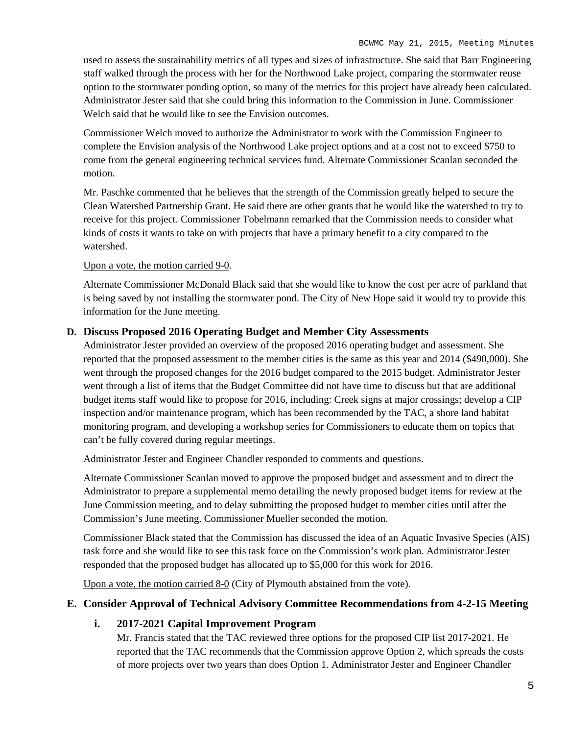used to assess the sustainability metrics of all types and sizes of infrastructure. She said that Barr Engineering staff walked through the process with her for the Northwood Lake project, comparing the stormwater reuse option to the stormwater ponding option, so many of the metrics for this project have already been calculated. Administrator Jester said that she could bring this information to the Commission in June. Commissioner Welch said that he would like to see the Envision outcomes.

Commissioner Welch moved to authorize the Administrator to work with the Commission Engineer to complete the Envision analysis of the Northwood Lake project options and at a cost not to exceed \$750 to come from the general engineering technical services fund. Alternate Commissioner Scanlan seconded the motion.

Mr. Paschke commented that he believes that the strength of the Commission greatly helped to secure the Clean Watershed Partnership Grant. He said there are other grants that he would like the watershed to try to receive for this project. Commissioner Tobelmann remarked that the Commission needs to consider what kinds of costs it wants to take on with projects that have a primary benefit to a city compared to the watershed.

#### Upon a vote, the motion carried 9-0.

Alternate Commissioner McDonald Black said that she would like to know the cost per acre of parkland that is being saved by not installing the stormwater pond. The City of New Hope said it would try to provide this information for the June meeting.

# **D. Discuss Proposed 2016 Operating Budget and Member City Assessments**

Administrator Jester provided an overview of the proposed 2016 operating budget and assessment. She reported that the proposed assessment to the member cities is the same as this year and 2014 (\$490,000). She went through the proposed changes for the 2016 budget compared to the 2015 budget. Administrator Jester went through a list of items that the Budget Committee did not have time to discuss but that are additional budget items staff would like to propose for 2016, including: Creek signs at major crossings; develop a CIP inspection and/or maintenance program, which has been recommended by the TAC, a shore land habitat monitoring program, and developing a workshop series for Commissioners to educate them on topics that can't be fully covered during regular meetings.

Administrator Jester and Engineer Chandler responded to comments and questions.

Alternate Commissioner Scanlan moved to approve the proposed budget and assessment and to direct the Administrator to prepare a supplemental memo detailing the newly proposed budget items for review at the June Commission meeting, and to delay submitting the proposed budget to member cities until after the Commission's June meeting. Commissioner Mueller seconded the motion.

Commissioner Black stated that the Commission has discussed the idea of an Aquatic Invasive Species (AIS) task force and she would like to see this task force on the Commission's work plan. Administrator Jester responded that the proposed budget has allocated up to \$5,000 for this work for 2016.

Upon a vote, the motion carried 8-0 (City of Plymouth abstained from the vote).

# **E. Consider Approval of Technical Advisory Committee Recommendations from 4-2-15 Meeting**

# **i. 2017-2021 Capital Improvement Program**

Mr. Francis stated that the TAC reviewed three options for the proposed CIP list 2017-2021. He reported that the TAC recommends that the Commission approve Option 2, which spreads the costs of more projects over two years than does Option 1. Administrator Jester and Engineer Chandler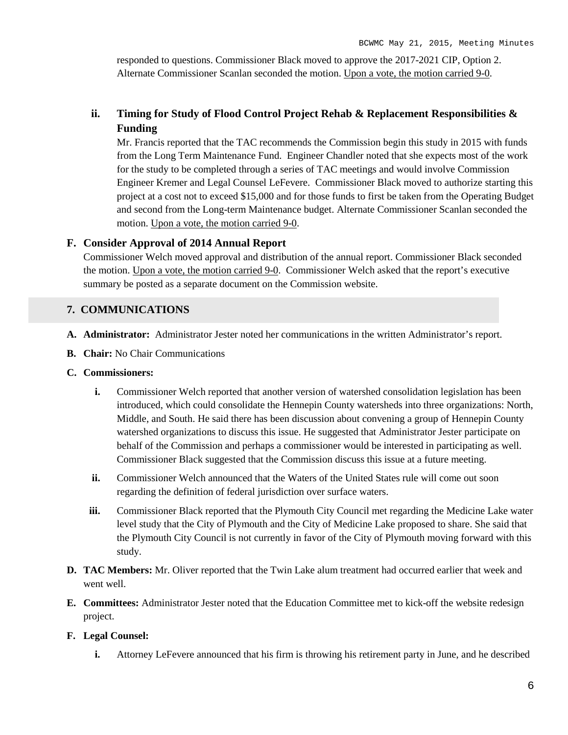responded to questions. Commissioner Black moved to approve the 2017-2021 CIP, Option 2. Alternate Commissioner Scanlan seconded the motion. Upon a vote, the motion carried 9-0.

# **ii. Timing for Study of Flood Control Project Rehab & Replacement Responsibilities & Funding**

Mr. Francis reported that the TAC recommends the Commission begin this study in 2015 with funds from the Long Term Maintenance Fund. Engineer Chandler noted that she expects most of the work for the study to be completed through a series of TAC meetings and would involve Commission Engineer Kremer and Legal Counsel LeFevere. Commissioner Black moved to authorize starting this project at a cost not to exceed \$15,000 and for those funds to first be taken from the Operating Budget and second from the Long-term Maintenance budget. Alternate Commissioner Scanlan seconded the motion. Upon a vote, the motion carried 9-0.

# **F. Consider Approval of 2014 Annual Report**

Commissioner Welch moved approval and distribution of the annual report. Commissioner Black seconded the motion. Upon a vote, the motion carried 9-0. Commissioner Welch asked that the report's executive summary be posted as a separate document on the Commission website.

# **7. COMMUNICATIONS**

- **A. Administrator:** Administrator Jester noted her communications in the written Administrator's report.
- **B. Chair:** No Chair Communications
- **C. Commissioners:**
	- **i.** Commissioner Welch reported that another version of watershed consolidation legislation has been introduced, which could consolidate the Hennepin County watersheds into three organizations: North, Middle, and South. He said there has been discussion about convening a group of Hennepin County watershed organizations to discuss this issue. He suggested that Administrator Jester participate on behalf of the Commission and perhaps a commissioner would be interested in participating as well. Commissioner Black suggested that the Commission discuss this issue at a future meeting.
	- **ii.** Commissioner Welch announced that the Waters of the United States rule will come out soon regarding the definition of federal jurisdiction over surface waters.
	- **iii.** Commissioner Black reported that the Plymouth City Council met regarding the Medicine Lake water level study that the City of Plymouth and the City of Medicine Lake proposed to share. She said that the Plymouth City Council is not currently in favor of the City of Plymouth moving forward with this study.
- **D. TAC Members:** Mr. Oliver reported that the Twin Lake alum treatment had occurred earlier that week and went well.
- **E. Committees:** Administrator Jester noted that the Education Committee met to kick-off the website redesign project.

# **F. Legal Counsel:**

**i.** Attorney LeFevere announced that his firm is throwing his retirement party in June, and he described